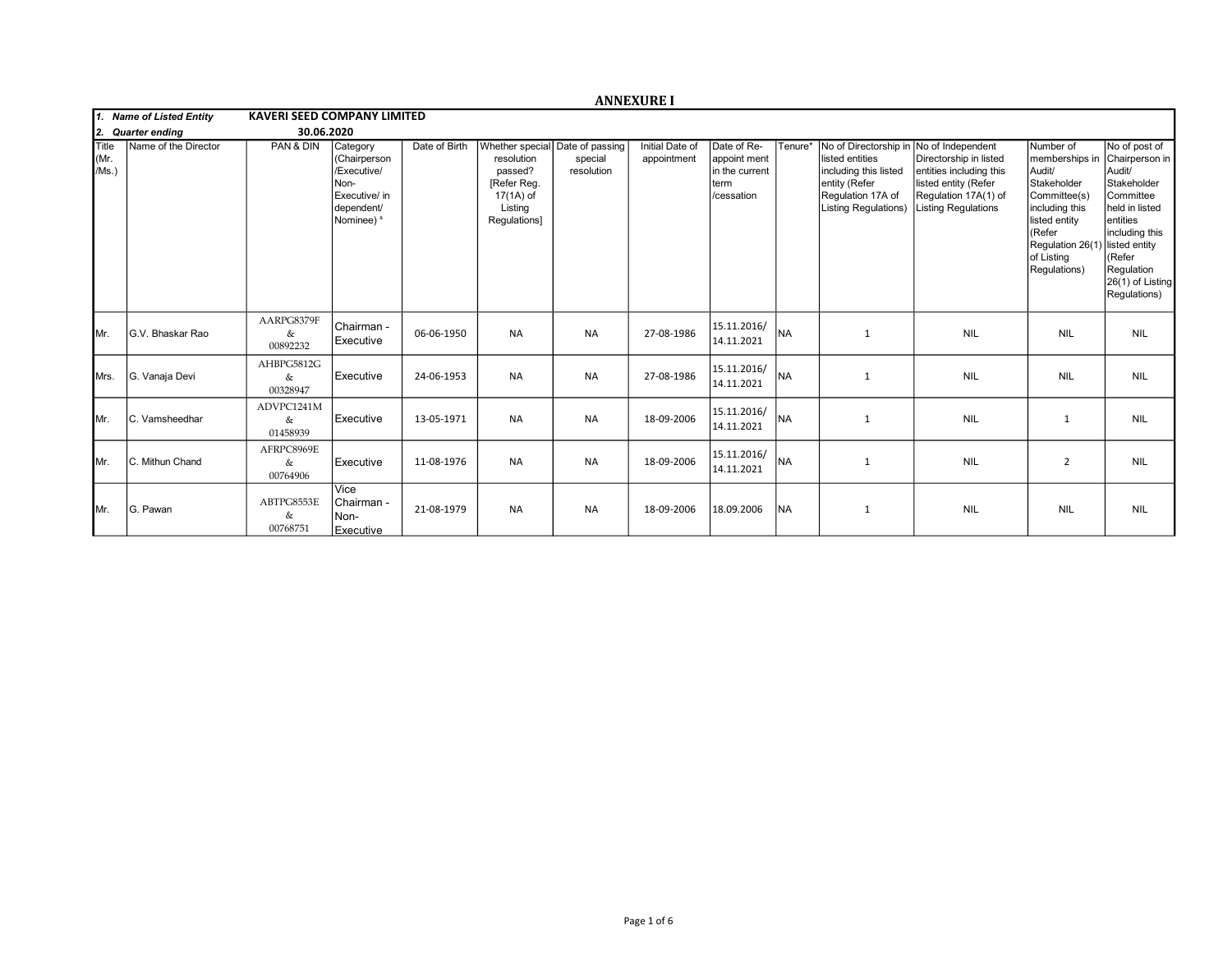|                              |                       |                                    |                                                                                              |               |                                                                                                                 |                       | <b>ANNEXURE I</b>              |                                                                     |           |                                                                                                                                        |                                                                                                                                                      |                                                                                                                                                                                   |                                                                                                                                                                                    |
|------------------------------|-----------------------|------------------------------------|----------------------------------------------------------------------------------------------|---------------|-----------------------------------------------------------------------------------------------------------------|-----------------------|--------------------------------|---------------------------------------------------------------------|-----------|----------------------------------------------------------------------------------------------------------------------------------------|------------------------------------------------------------------------------------------------------------------------------------------------------|-----------------------------------------------------------------------------------------------------------------------------------------------------------------------------------|------------------------------------------------------------------------------------------------------------------------------------------------------------------------------------|
| 1. Name of Listed Entity     |                       | <b>KAVERI SEED COMPANY LIMITED</b> |                                                                                              |               |                                                                                                                 |                       |                                |                                                                     |           |                                                                                                                                        |                                                                                                                                                      |                                                                                                                                                                                   |                                                                                                                                                                                    |
| 12.                          | <b>Quarter ending</b> | 30.06.2020                         |                                                                                              |               |                                                                                                                 |                       |                                |                                                                     |           |                                                                                                                                        |                                                                                                                                                      |                                                                                                                                                                                   |                                                                                                                                                                                    |
| <b>Title</b><br>Mr.<br>/Ms.) | Name of the Director  | PAN & DIN                          | Category<br>(Chairperson<br>/Executive/<br>Non-<br>Executive/ in<br>dependent/<br>Nominee) & | Date of Birth | Whether special Date of passing<br>resolution<br>passed?<br>[Refer Reg.<br>17(1A) of<br>Listing<br>Regulations] | special<br>resolution | Initial Date of<br>appointment | Date of Re-<br>appoint ment<br>in the current<br>term<br>/cessation | Tenure*   | No of Directorship in<br>listed entities<br>including this listed<br>entity (Refer<br>Regulation 17A of<br><b>Listing Regulations)</b> | No of Independent<br>Directorship in listed<br>entities including this<br>listed entity (Refer<br>Regulation 17A(1) of<br><b>Listing Regulations</b> | Number of<br>memberships in<br>Audit/<br>Stakeholder<br>Committee(s)<br>including this<br>listed entity<br>(Refer<br>Regulation 26(1) listed entity<br>of Listing<br>Regulations) | No of post of<br>Chairperson in<br>Audit/<br>Stakeholder<br>Committee<br>held in listed<br>lentities<br>including this<br>KRefer<br>Regulation<br>26(1) of Listing<br>Regulations) |
| IMr.                         | G.V. Bhaskar Rao      | AARPG8379F<br>&<br>00892232        | Chairman -<br>Executive                                                                      | 06-06-1950    | <b>NA</b>                                                                                                       | <b>NA</b>             | 27-08-1986                     | 15.11.2016/<br>14.11.2021                                           | <b>NA</b> | 1                                                                                                                                      | <b>NIL</b>                                                                                                                                           | <b>NIL</b>                                                                                                                                                                        | <b>NIL</b>                                                                                                                                                                         |
| <b>I</b> Mrs.                | G. Vanaja Devi        | AHBPG5812G<br>&<br>00328947        | Executive                                                                                    | 24-06-1953    | <b>NA</b>                                                                                                       | <b>NA</b>             | 27-08-1986                     | 15.11.2016/<br>14.11.2021                                           | <b>NA</b> | $\mathbf{1}$                                                                                                                           | <b>NIL</b>                                                                                                                                           | <b>NIL</b>                                                                                                                                                                        | <b>NIL</b>                                                                                                                                                                         |
| IMr.                         | C. Vamsheedhar        | ADVPC1241M<br>&<br>01458939        | Executive                                                                                    | 13-05-1971    | <b>NA</b>                                                                                                       | <b>NA</b>             | 18-09-2006                     | 15.11.2016/<br>14.11.2021                                           | Ina       | 1                                                                                                                                      | <b>NIL</b>                                                                                                                                           | $\mathbf{1}$                                                                                                                                                                      | <b>NIL</b>                                                                                                                                                                         |
| IMr.                         | C. Mithun Chand       | AFRPC8969E<br>&<br>00764906        | Executive                                                                                    | 11-08-1976    | <b>NA</b>                                                                                                       | <b>NA</b>             | 18-09-2006                     | 15.11.2016/<br>14.11.2021                                           | Ina       | 1                                                                                                                                      | <b>NIL</b>                                                                                                                                           | $\overline{2}$                                                                                                                                                                    | <b>NIL</b>                                                                                                                                                                         |
| IMr.                         | G. Pawan              | ABTPG8553E<br>&<br>00768751        | Vice<br>l Chairman -<br>Non-<br>Executive                                                    | 21-08-1979    | <b>NA</b>                                                                                                       | <b>NA</b>             | 18-09-2006                     | 18.09.2006                                                          | <b>NA</b> | 1                                                                                                                                      | <b>NIL</b>                                                                                                                                           | <b>NIL</b>                                                                                                                                                                        | <b>NIL</b>                                                                                                                                                                         |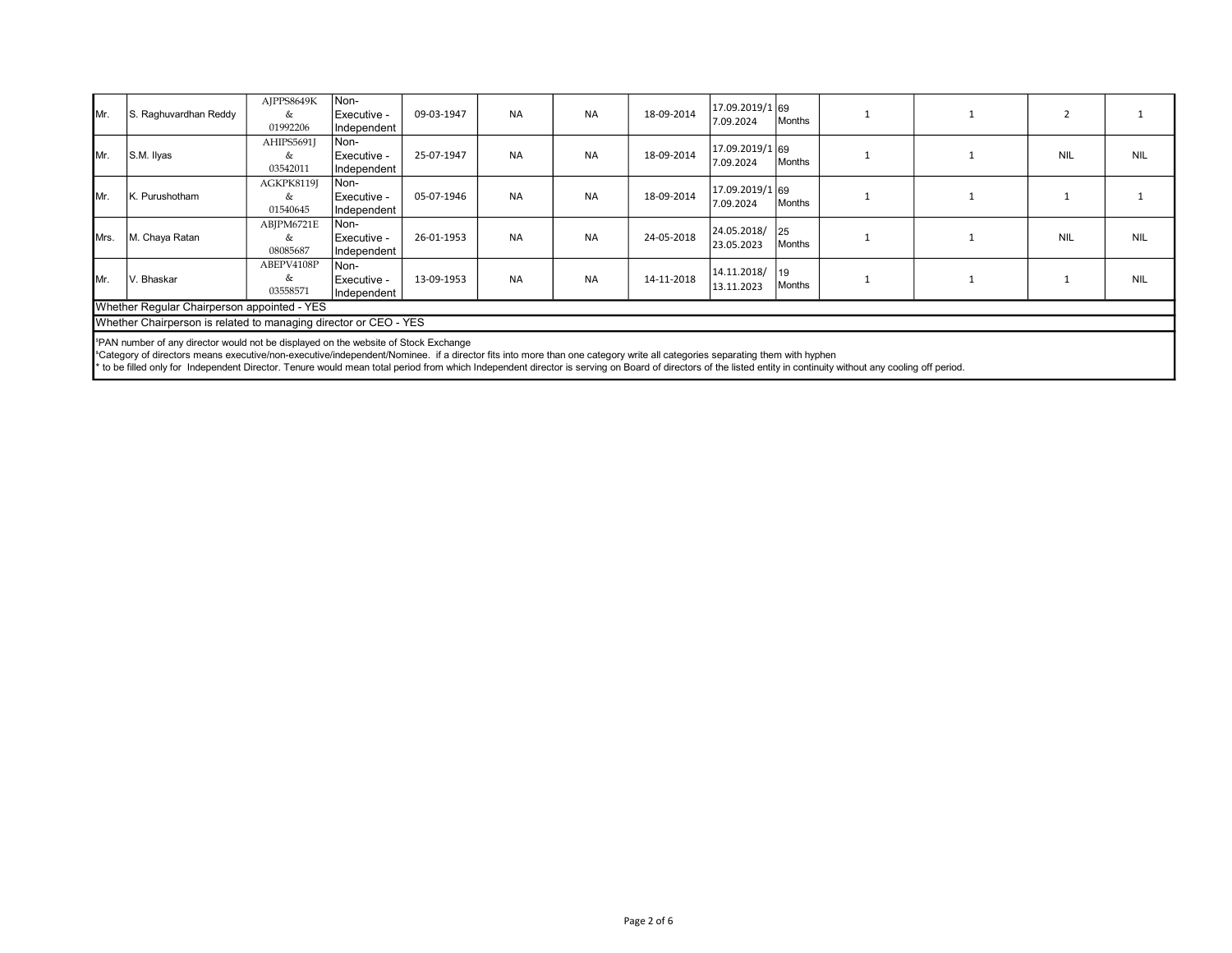| IMr.                                                                                                                                                                                                                                                                                     | S. Raghuvardhan Reddy | AJPPS8649K<br>&<br>01992206 | Non-<br>Executive -<br>Independent | 09-03-1947 | <b>NA</b> | <b>NA</b> | 18-09-2014 | 17.09.2019/1 69<br>7.09.2024 | Months         |  |            |            |
|------------------------------------------------------------------------------------------------------------------------------------------------------------------------------------------------------------------------------------------------------------------------------------------|-----------------------|-----------------------------|------------------------------------|------------|-----------|-----------|------------|------------------------------|----------------|--|------------|------------|
| IMr.                                                                                                                                                                                                                                                                                     | S.M. Ilyas            | AHIPS5691J<br>&<br>03542011 | Non-<br>Executive -<br>Independent | 25-07-1947 | <b>NA</b> | <b>NA</b> | 18-09-2014 | 17.09.2019/1 69<br>7.09.2024 | Months         |  | <b>NIL</b> | <b>NIL</b> |
| IMr.                                                                                                                                                                                                                                                                                     | K. Purushotham        | AGKPK8119J<br>&<br>01540645 | Non-<br>Executive -<br>Independent | 05-07-1946 | <b>NA</b> | <b>NA</b> | 18-09-2014 | 17.09.2019/1 69<br>7.09.2024 | Months         |  |            |            |
| Mrs.                                                                                                                                                                                                                                                                                     | M. Chaya Ratan        | ABJPM6721E<br>&<br>08085687 | Non-<br>Executive -<br>Independent | 26-01-1953 | <b>NA</b> | <b>NA</b> | 24-05-2018 | 24.05.2018/<br>23.05.2023    | l 25<br>Months |  | <b>NIL</b> | <b>NIL</b> |
| IMr.                                                                                                                                                                                                                                                                                     | V. Bhaskar            | ABEPV4108P<br>&<br>03558571 | Non-<br>Executive -<br>Independent | 13-09-1953 | <b>NA</b> | <b>NA</b> | 14-11-2018 | 14.11.2018/<br>13.11.2023    | 19<br>Months   |  |            | <b>NIL</b> |
| Whether Regular Chairperson appointed - YES                                                                                                                                                                                                                                              |                       |                             |                                    |            |           |           |            |                              |                |  |            |            |
| Whether Chairperson is related to managing director or CEO - YES                                                                                                                                                                                                                         |                       |                             |                                    |            |           |           |            |                              |                |  |            |            |
| <sup>5</sup> PAN number of any director would not be displayed on the website of Stock Exchange<br><sup>a</sup> Category of directors means executive/non-executive/independent/Nominee. if a director fits into more than one category write all categories separating them with hyphen |                       |                             |                                    |            |           |           |            |                              |                |  |            |            |

\* to be filled only for Independent Director. Tenure would mean total period from which Independent director is serving on Board of directors of the listed entity in continuity without any cooling off period.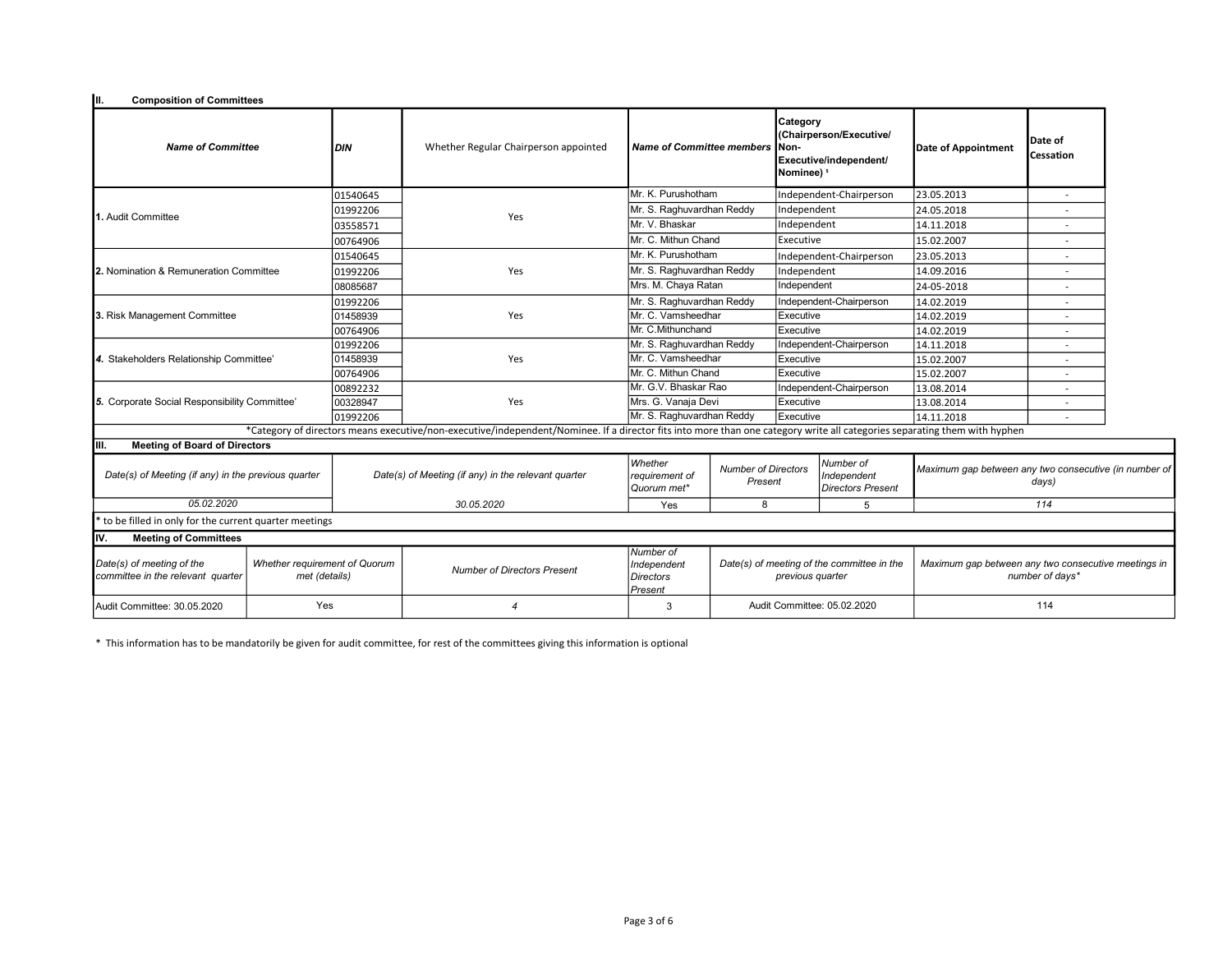| III.<br><b>Composition of Committees</b>                                                                         |  |                                                     |                                                                                                                                                                           |                                                         |                                       |                                                                                                         |                                            |                                                                        |                             |  |
|------------------------------------------------------------------------------------------------------------------|--|-----------------------------------------------------|---------------------------------------------------------------------------------------------------------------------------------------------------------------------------|---------------------------------------------------------|---------------------------------------|---------------------------------------------------------------------------------------------------------|--------------------------------------------|------------------------------------------------------------------------|-----------------------------|--|
| <b>Name of Committee</b>                                                                                         |  | <b>DIN</b>                                          | Whether Regular Chairperson appointed                                                                                                                                     | <b>Name of Committee members</b>                        |                                       | Category<br>(Chairperson/Executive/<br><b>INon-</b><br>Executive/independent/<br>Nominee) <sup>\$</sup> |                                            | Date of Appointment                                                    | Date of<br><b>Cessation</b> |  |
|                                                                                                                  |  | 01540645                                            |                                                                                                                                                                           | Mr. K. Purushotham                                      |                                       | Independent-Chairperson                                                                                 |                                            | 23.05.2013                                                             |                             |  |
|                                                                                                                  |  | 01992206                                            | Yes                                                                                                                                                                       | Mr. S. Raghuvardhan Reddy                               |                                       | Independent                                                                                             |                                            | 24.05.2018                                                             |                             |  |
| 1. Audit Committee                                                                                               |  | 03558571                                            |                                                                                                                                                                           | Mr. V. Bhaskar                                          |                                       | Independent                                                                                             |                                            | 14.11.2018                                                             |                             |  |
|                                                                                                                  |  | 00764906                                            |                                                                                                                                                                           | Mr. C. Mithun Chand                                     |                                       | Executive                                                                                               |                                            | 15.02.2007                                                             |                             |  |
|                                                                                                                  |  | 01540645                                            |                                                                                                                                                                           | Mr. K. Purushotham                                      |                                       | Independent-Chairperson                                                                                 |                                            | 23.05.2013                                                             | ٠                           |  |
| <b>12.</b> Nomination & Remuneration Committee                                                                   |  | 01992206                                            | Yes                                                                                                                                                                       | Mr. S. Raghuvardhan Reddy                               |                                       | Independent                                                                                             |                                            | 14.09.2016                                                             |                             |  |
|                                                                                                                  |  | 08085687                                            |                                                                                                                                                                           | Mrs. M. Chaya Ratan                                     |                                       | Independent                                                                                             |                                            | 24-05-2018                                                             |                             |  |
|                                                                                                                  |  | 01992206                                            |                                                                                                                                                                           | Mr. S. Raghuvardhan Reddy                               |                                       |                                                                                                         | Independent-Chairperson                    | 14.02.2019                                                             |                             |  |
| 3. Risk Management Committee                                                                                     |  | 01458939                                            | Yes                                                                                                                                                                       | Mr. C. Vamsheedhar                                      |                                       | Executive                                                                                               |                                            | 14.02.2019                                                             |                             |  |
|                                                                                                                  |  | 00764906                                            |                                                                                                                                                                           | Mr. C.Mithunchand                                       | Executive                             |                                                                                                         |                                            | 14.02.2019                                                             | $\overline{a}$              |  |
|                                                                                                                  |  | 01992206                                            |                                                                                                                                                                           | Mr. S. Raghuvardhan Reddy                               |                                       | Independent-Chairperson                                                                                 |                                            | 14.11.2018                                                             |                             |  |
| 4. Stakeholders Relationship Committee'                                                                          |  | 01458939                                            | Yes                                                                                                                                                                       | Mr. C. Vamsheedhar                                      |                                       | Executive                                                                                               |                                            | 15.02.2007                                                             |                             |  |
|                                                                                                                  |  |                                                     |                                                                                                                                                                           | Mr. C. Mithun Chand                                     |                                       | Executive                                                                                               |                                            | 15.02.2007                                                             |                             |  |
|                                                                                                                  |  | 00892232                                            |                                                                                                                                                                           | Mr. G.V. Bhaskar Rao                                    |                                       |                                                                                                         | Independent-Chairperson                    | 13.08.2014                                                             |                             |  |
| 5. Corporate Social Responsibility Committee'                                                                    |  | 00328947                                            | Yes                                                                                                                                                                       | Mrs. G. Vanaja Devi                                     |                                       | Executive                                                                                               |                                            | 13.08.2014                                                             | $\overline{\phantom{a}}$    |  |
|                                                                                                                  |  | 01992206                                            |                                                                                                                                                                           | Mr. S. Raghuvardhan Reddy                               |                                       | Executive                                                                                               |                                            | 14.11.2018                                                             |                             |  |
|                                                                                                                  |  |                                                     | *Category of directors means executive/non-executive/independent/Nominee. If a director fits into more than one category write all categories separating them with hyphen |                                                         |                                       |                                                                                                         |                                            |                                                                        |                             |  |
| <b>Meeting of Board of Directors</b><br>IIII.                                                                    |  |                                                     |                                                                                                                                                                           |                                                         |                                       |                                                                                                         |                                            |                                                                        |                             |  |
| Date(s) of Meeting (if any) in the previous quarter                                                              |  | Date(s) of Meeting (if any) in the relevant quarter |                                                                                                                                                                           | Whether<br>requirement of<br>Quorum met*                | <b>Number of Directors</b><br>Present | Number of<br>Independent<br><b>Directors Present</b>                                                    |                                            | Maximum gap between any two consecutive (in number of<br>days)         |                             |  |
| 05.02.2020                                                                                                       |  |                                                     | 30.05.2020                                                                                                                                                                | Yes                                                     | 8                                     |                                                                                                         | 5                                          | 114                                                                    |                             |  |
| to be filled in only for the current quarter meetings                                                            |  |                                                     |                                                                                                                                                                           |                                                         |                                       |                                                                                                         |                                            |                                                                        |                             |  |
| lıv.<br><b>Meeting of Committees</b>                                                                             |  |                                                     |                                                                                                                                                                           |                                                         |                                       |                                                                                                         |                                            |                                                                        |                             |  |
| Date(s) of meeting of the<br>Whether requirement of Quorum<br>committee in the relevant quarter<br>met (details) |  | <b>Number of Directors Present</b>                  |                                                                                                                                                                           | Number of<br>Independent<br><b>Directors</b><br>Present |                                       | previous quarter                                                                                        | Date(s) of meeting of the committee in the | Maximum gap between any two consecutive meetings in<br>number of days* |                             |  |
| Yes<br>Audit Committee: 30.05.2020                                                                               |  |                                                     | 4                                                                                                                                                                         |                                                         | Audit Committee: 05.02.2020           |                                                                                                         | 114                                        |                                                                        |                             |  |

\* This information has to be mandatorily be given for audit committee, for rest of the committees giving this information is optional